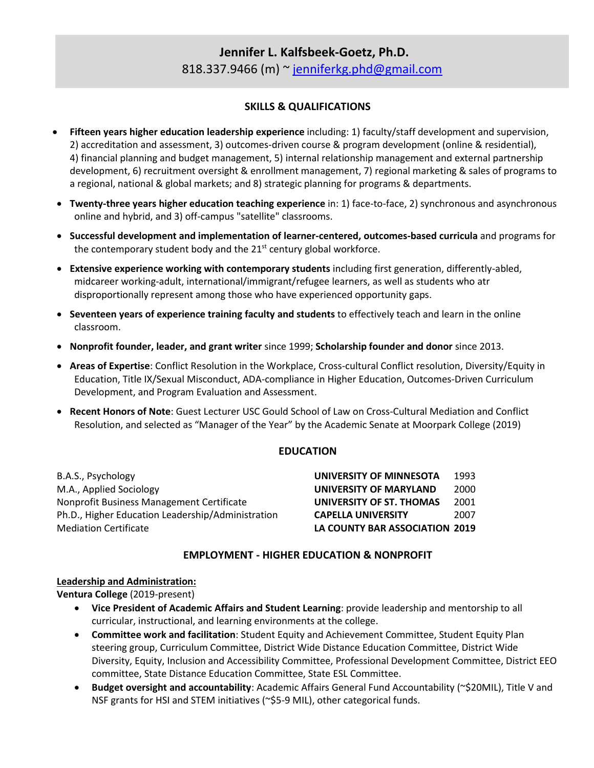# **Jennifer L. Kalfsbeek-Goetz, Ph.D.** 818.337.9466 (m) ~ [jenniferkg.phd@gmail.com](mailto:jenniferkg.phd@gmail.com)

## **SKILLS & QUALIFICATIONS**

- **Fifteen years higher education leadership experience** including: 1) faculty/staff development and supervision, 2) accreditation and assessment, 3) outcomes-driven course & program development (online & residential), 4) financial planning and budget management, 5) internal relationship management and external partnership development, 6) recruitment oversight & enrollment management, 7) regional marketing & sales of programs to a regional, national & global markets; and 8) strategic planning for programs & departments.
- **Twenty-three years higher education teaching experience** in: 1) face-to-face, 2) synchronous and asynchronous online and hybrid, and 3) off-campus "satellite" classrooms.
- **Successful development and implementation of learner-centered, outcomes-based curricula** and programs for the contemporary student body and the  $21^{st}$  century global workforce.
- **Extensive experience working with contemporary students** including first generation, differently-abled, midcareer working-adult, international/immigrant/refugee learners, as well as students who atr disproportionally represent among those who have experienced opportunity gaps.
- **Seventeen years of experience training faculty and students** to effectively teach and learn in the online classroom.
- **Nonprofit founder, leader, and grant writer** since 1999; **Scholarship founder and donor** since 2013.
- **Areas of Expertise**: Conflict Resolution in the Workplace, Cross-cultural Conflict resolution, Diversity/Equity in Education, Title IX/Sexual Misconduct, ADA-compliance in Higher Education, Outcomes-Driven Curriculum Development, and Program Evaluation and Assessment.
- **Recent Honors of Note**: Guest Lecturer USC Gould School of Law on Cross-Cultural Mediation and Conflict Resolution, and selected as "Manager of the Year" by the Academic Senate at Moorpark College (2019)

## **EDUCATION**

| UNIVERSITY OF MINNESOTA<br>1993  |
|----------------------------------|
| UNIVERSITY OF MARYLAND<br>2000   |
| UNIVERSITY OF ST. THOMAS<br>2001 |
| 2007                             |
| LA COUNTY BAR ASSOCIATION 2019   |
|                                  |

## **EMPLOYMENT - HIGHER EDUCATION & NONPROFIT**

## **Leadership and Administration:**

**Ventura College** (2019-present)

- **Vice President of Academic Affairs and Student Learning**: provide leadership and mentorship to all curricular, instructional, and learning environments at the college.
- **Committee work and facilitation**: Student Equity and Achievement Committee, Student Equity Plan steering group, Curriculum Committee, District Wide Distance Education Committee, District Wide Diversity, Equity, Inclusion and Accessibility Committee, Professional Development Committee, District EEO committee, State Distance Education Committee, State ESL Committee.
- **Budget oversight and accountability**: Academic Affairs General Fund Accountability (~\$20MIL), Title V and NSF grants for HSI and STEM initiatives (~\$5-9 MIL), other categorical funds.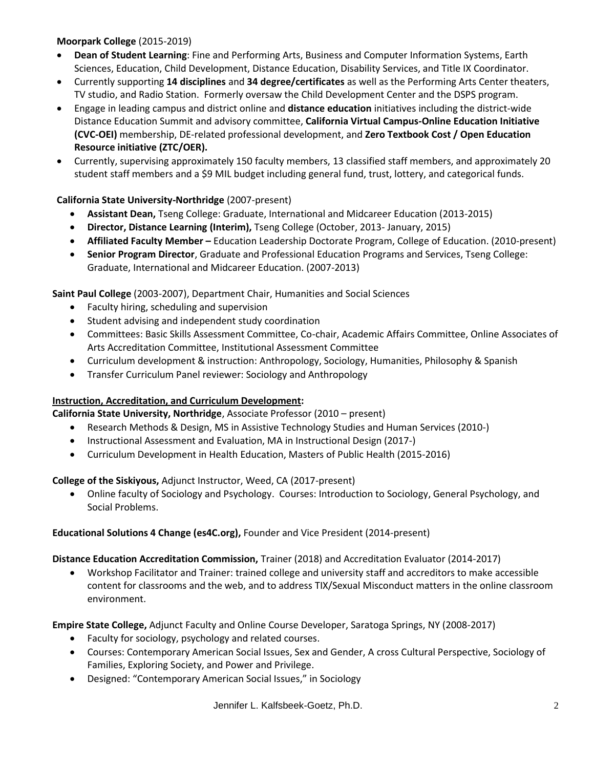#### **Moorpark College** (2015-2019)

- **Dean of Student Learning**: Fine and Performing Arts, Business and Computer Information Systems, Earth Sciences, Education, Child Development, Distance Education, Disability Services, and Title IX Coordinator.
- Currently supporting **14 disciplines** and **34 degree/certificates** as well as the Performing Arts Center theaters, TV studio, and Radio Station. Formerly oversaw the Child Development Center and the DSPS program.
- Engage in leading campus and district online and **distance education** initiatives including the district-wide Distance Education Summit and advisory committee, **California Virtual Campus-Online Education Initiative (CVC-OEI)** membership, DE-related professional development, and **Zero Textbook Cost / Open Education Resource initiative (ZTC/OER).**
- Currently, supervising approximately 150 faculty members, 13 classified staff members, and approximately 20 student staff members and a \$9 MIL budget including general fund, trust, lottery, and categorical funds.

## **California State University-Northridge** (2007-present)

- **Assistant Dean,** Tseng College: Graduate, International and Midcareer Education (2013-2015)
- **Director, Distance Learning (Interim),** Tseng College (October, 2013- January, 2015)
- **Affiliated Faculty Member –** Education Leadership Doctorate Program, College of Education. (2010-present)
- **Senior Program Director**, Graduate and Professional Education Programs and Services, Tseng College: Graduate, International and Midcareer Education. (2007-2013)

**Saint Paul College** (2003-2007), Department Chair, Humanities and Social Sciences

- Faculty hiring, scheduling and supervision
- Student advising and independent study coordination
- Committees: Basic Skills Assessment Committee, Co-chair, Academic Affairs Committee, Online Associates of Arts Accreditation Committee, Institutional Assessment Committee
- Curriculum development & instruction: Anthropology, Sociology, Humanities, Philosophy & Spanish
- Transfer Curriculum Panel reviewer: Sociology and Anthropology

## **Instruction, Accreditation, and Curriculum Development:**

**California State University, Northridge**, Associate Professor (2010 – present)

- Research Methods & Design, MS in Assistive Technology Studies and Human Services (2010-)
- Instructional Assessment and Evaluation, MA in Instructional Design (2017-)
- Curriculum Development in Health Education, Masters of Public Health (2015-2016)

## **College of the Siskiyous,** Adjunct Instructor, Weed, CA (2017-present)

• Online faculty of Sociology and Psychology. Courses: Introduction to Sociology, General Psychology, and Social Problems.

## **Educational Solutions 4 Change (es4C.org),** Founder and Vice President (2014-present)

## **Distance Education Accreditation Commission,** Trainer (2018) and Accreditation Evaluator (2014-2017)

• Workshop Facilitator and Trainer: trained college and university staff and accreditors to make accessible content for classrooms and the web, and to address TIX/Sexual Misconduct matters in the online classroom environment.

## **Empire State College,** Adjunct Faculty and Online Course Developer, Saratoga Springs, NY (2008-2017)

- Faculty for sociology, psychology and related courses.
- Courses: Contemporary American Social Issues, Sex and Gender, A cross Cultural Perspective, Sociology of Families, Exploring Society, and Power and Privilege.
- Designed: "Contemporary American Social Issues," in Sociology

Jennifer L. Kalfsbeek-Goetz, Ph.D. 2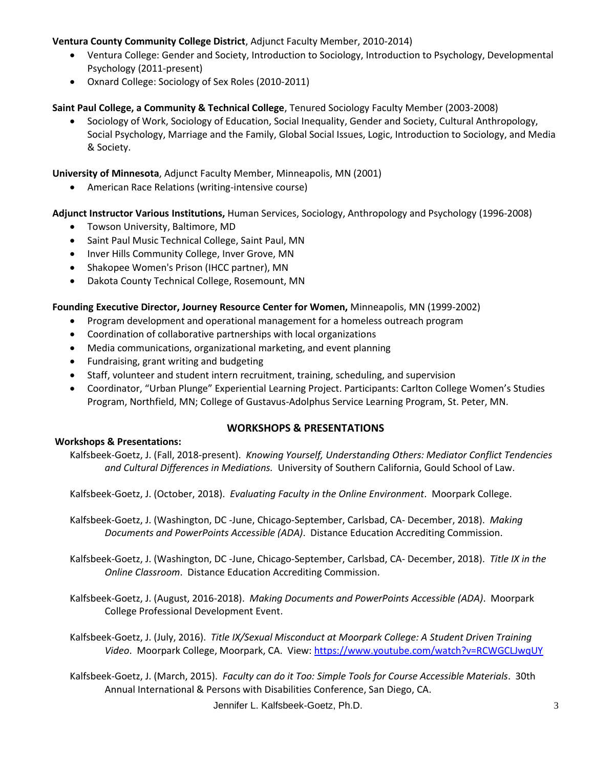#### **Ventura County Community College District**, Adjunct Faculty Member, 2010-2014)

- Ventura College: Gender and Society, Introduction to Sociology, Introduction to Psychology, Developmental Psychology (2011-present)
- Oxnard College: Sociology of Sex Roles (2010-2011)

#### **Saint Paul College, a Community & Technical College**, Tenured Sociology Faculty Member (2003-2008)

• Sociology of Work, Sociology of Education, Social Inequality, Gender and Society, Cultural Anthropology, Social Psychology, Marriage and the Family, Global Social Issues, Logic, Introduction to Sociology, and Media & Society.

**University of Minnesota**, Adjunct Faculty Member, Minneapolis, MN (2001)

• American Race Relations (writing-intensive course)

**Adjunct Instructor Various Institutions,** Human Services, Sociology, Anthropology and Psychology (1996-2008)

- Towson University, Baltimore, MD
- Saint Paul Music Technical College, Saint Paul, MN
- Inver Hills Community College, Inver Grove, MN
- Shakopee Women's Prison (IHCC partner), MN
- Dakota County Technical College, Rosemount, MN

#### **Founding Executive Director, Journey Resource Center for Women,** Minneapolis, MN (1999-2002)

- Program development and operational management for a homeless outreach program
- Coordination of collaborative partnerships with local organizations
- Media communications, organizational marketing, and event planning
- Fundraising, grant writing and budgeting
- Staff, volunteer and student intern recruitment, training, scheduling, and supervision
- Coordinator, "Urban Plunge" Experiential Learning Project. Participants: Carlton College Women's Studies Program, Northfield, MN; College of Gustavus-Adolphus Service Learning Program, St. Peter, MN.

#### **Workshops & Presentations:**

#### **WORKSHOPS & PRESENTATIONS**

Kalfsbeek-Goetz, J. (Fall, 2018-present). *Knowing Yourself, Understanding Others: Mediator Conflict Tendencies and Cultural Differences in Mediations.* University of Southern California, Gould School of Law.

Kalfsbeek-Goetz, J. (October, 2018). *Evaluating Faculty in the Online Environment*. Moorpark College.

Kalfsbeek-Goetz, J. (Washington, DC -June, Chicago-September, Carlsbad, CA- December, 2018). *Making Documents and PowerPoints Accessible (ADA)*. Distance Education Accrediting Commission.

Kalfsbeek-Goetz, J. (Washington, DC -June, Chicago-September, Carlsbad, CA- December, 2018). *Title IX in the Online Classroom*. Distance Education Accrediting Commission.

Kalfsbeek-Goetz, J. (August, 2016-2018). *Making Documents and PowerPoints Accessible (ADA)*. Moorpark College Professional Development Event.

Kalfsbeek-Goetz, J. (July, 2016). *Title IX/Sexual Misconduct at Moorpark College: A Student Driven Training Video*. Moorpark College, Moorpark, CA. View:<https://www.youtube.com/watch?v=RCWGCLJwqUY>

Kalfsbeek-Goetz, J. (March, 2015). *Faculty can do it Too: Simple Tools for Course Accessible Materials*. 30th Annual International & Persons with Disabilities Conference, San Diego, CA.

Jennifer L. Kalfsbeek-Goetz, Ph.D. 3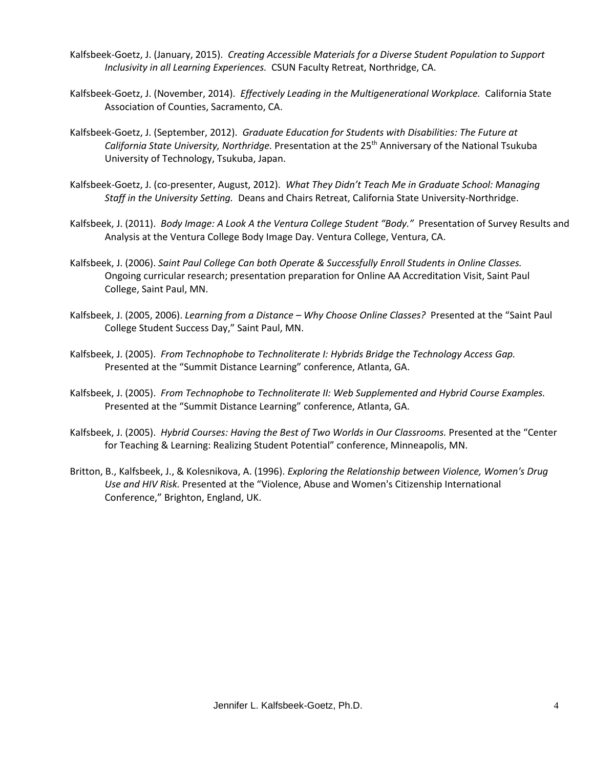- Kalfsbeek-Goetz, J. (January, 2015). *Creating Accessible Materials for a Diverse Student Population to Support Inclusivity in all Learning Experiences.* CSUN Faculty Retreat, Northridge, CA.
- Kalfsbeek-Goetz, J. (November, 2014). *Effectively Leading in the Multigenerational Workplace.* California State Association of Counties, Sacramento, CA.
- Kalfsbeek-Goetz, J. (September, 2012). *Graduate Education for Students with Disabilities: The Future at California State University, Northridge.* Presentation at the 25th Anniversary of the National Tsukuba University of Technology, Tsukuba, Japan.
- Kalfsbeek-Goetz, J. (co-presenter, August, 2012). *What They Didn't Teach Me in Graduate School: Managing Staff in the University Setting.* Deans and Chairs Retreat, California State University-Northridge.
- Kalfsbeek, J. (2011). *Body Image: A Look A the Ventura College Student "Body."* Presentation of Survey Results and Analysis at the Ventura College Body Image Day. Ventura College, Ventura, CA.
- Kalfsbeek, J. (2006). *Saint Paul College Can both Operate & Successfully Enroll Students in Online Classes.*  Ongoing curricular research; presentation preparation for Online AA Accreditation Visit, Saint Paul College, Saint Paul, MN.
- Kalfsbeek, J. (2005, 2006). *Learning from a Distance – Why Choose Online Classes?* Presented at the "Saint Paul College Student Success Day," Saint Paul, MN.
- Kalfsbeek, J. (2005). *From Technophobe to Technoliterate I: Hybrids Bridge the Technology Access Gap.* Presented at the "Summit Distance Learning" conference, Atlanta, GA.
- Kalfsbeek, J. (2005). *From Technophobe to Technoliterate II: Web Supplemented and Hybrid Course Examples.* Presented at the "Summit Distance Learning" conference, Atlanta, GA.
- Kalfsbeek, J. (2005). *Hybrid Courses: Having the Best of Two Worlds in Our Classrooms.* Presented at the "Center for Teaching & Learning: Realizing Student Potential" conference, Minneapolis, MN.
- Britton, B., Kalfsbeek, J., & Kolesnikova, A. (1996). *Exploring the Relationship between Violence, Women's Drug Use and HIV Risk.* Presented at the "Violence, Abuse and Women's Citizenship International Conference," Brighton, England, UK.